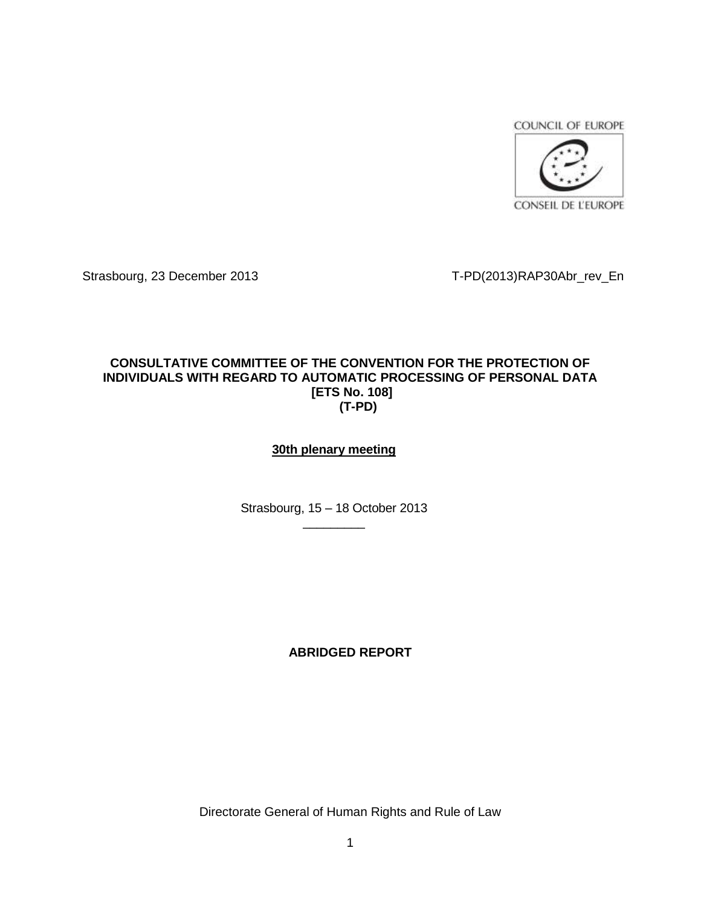COUNCIL OF EUROPE



Strasbourg, 23 December 2013 T-PD(2013)RAP30Abr\_rev\_En

# **CONSULTATIVE COMMITTEE OF THE CONVENTION FOR THE PROTECTION OF INDIVIDUALS WITH REGARD TO AUTOMATIC PROCESSING OF PERSONAL DATA [ETS No. 108] (T-PD)**

# **30th plenary meeting**

Strasbourg, 15 – 18 October 2013  $\overline{\phantom{a}}$  , where  $\overline{\phantom{a}}$ 

# **ABRIDGED REPORT**

Directorate General of Human Rights and Rule of Law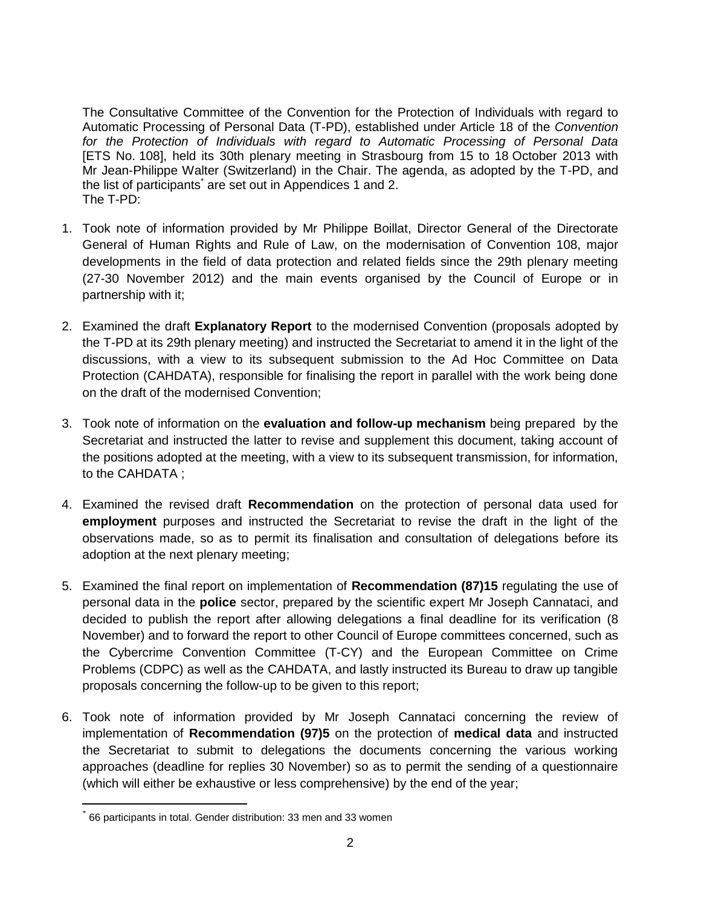The Consultative Committee of the Convention for the Protection of Individuals with regard to Automatic Processing of Personal Data (T-PD), established under Article 18 of the *Convention for the Protection of Individuals with regard to Automatic Processing of Personal Data* [ETS No. 108], held its 30th plenary meeting in Strasbourg from 15 to 18 October 2013 with Mr Jean-Philippe Walter (Switzerland) in the Chair. The agenda, as adopted by the T-PD, and the list of participants<sup>\*</sup> are set out in Appendices 1 and 2. The T-PD:

- 1. Took note of information provided by Mr Philippe Boillat, Director General of the Directorate General of Human Rights and Rule of Law, on the modernisation of Convention 108, major developments in the field of data protection and related fields since the 29th plenary meeting (27-30 November 2012) and the main events organised by the Council of Europe or in partnership with it;
- 2. Examined the draft **Explanatory Report** to the modernised Convention (proposals adopted by the T-PD at its 29th plenary meeting) and instructed the Secretariat to amend it in the light of the discussions, with a view to its subsequent submission to the Ad Hoc Committee on Data Protection (CAHDATA), responsible for finalising the report in parallel with the work being done on the draft of the modernised Convention;
- 3. Took note of information on the **evaluation and follow-up mechanism** being prepared by the Secretariat and instructed the latter to revise and supplement this document, taking account of the positions adopted at the meeting, with a view to its subsequent transmission, for information, to the CAHDATA ;
- 4. Examined the revised draft **Recommendation** on the protection of personal data used for **employment** purposes and instructed the Secretariat to revise the draft in the light of the observations made, so as to permit its finalisation and consultation of delegations before its adoption at the next plenary meeting;
- 5. Examined the final report on implementation of **Recommendation (87)15** regulating the use of personal data in the **police** sector, prepared by the scientific expert Mr Joseph Cannataci, and decided to publish the report after allowing delegations a final deadline for its verification (8 November) and to forward the report to other Council of Europe committees concerned, such as the Cybercrime Convention Committee (T-CY) and the European Committee on Crime Problems (CDPC) as well as the CAHDATA, and lastly instructed its Bureau to draw up tangible proposals concerning the follow-up to be given to this report;
- 6. Took note of information provided by Mr Joseph Cannataci concerning the review of implementation of **Recommendation (97)5** on the protection of **medical data** and instructed the Secretariat to submit to delegations the documents concerning the various working approaches (deadline for replies 30 November) so as to permit the sending of a questionnaire (which will either be exhaustive or less comprehensive) by the end of the year;

 $\overline{a}$ 

<sup>\*</sup> 66 participants in total. Gender distribution: 33 men and 33 women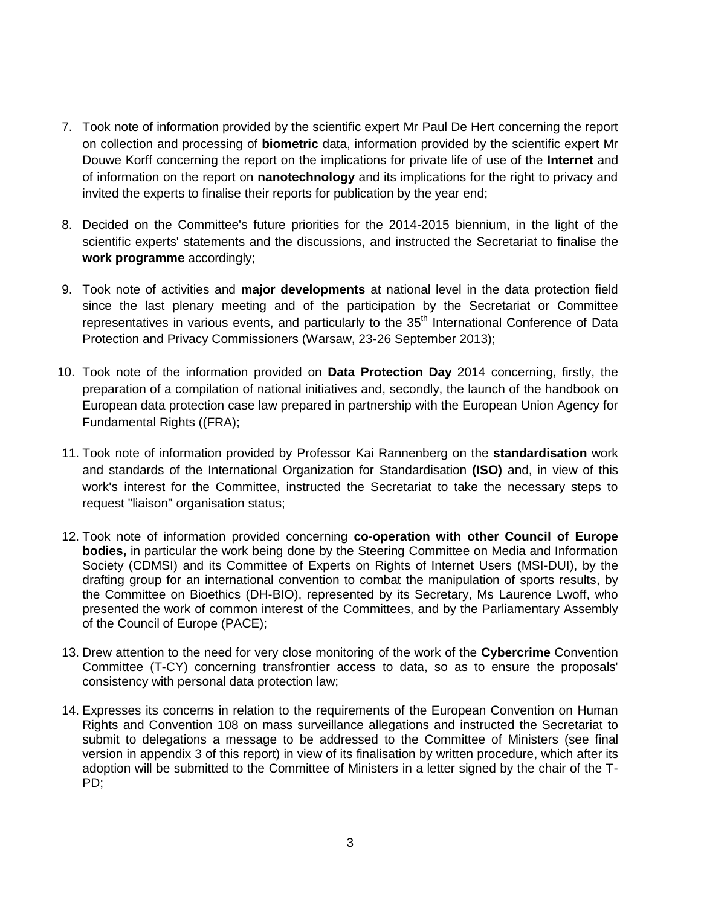- 7. Took note of information provided by the scientific expert Mr Paul De Hert concerning the report on collection and processing of **biometric** data, information provided by the scientific expert Mr Douwe Korff concerning the report on the implications for private life of use of the **Internet** and of information on the report on **nanotechnology** and its implications for the right to privacy and invited the experts to finalise their reports for publication by the year end;
- 8. Decided on the Committee's future priorities for the 2014-2015 biennium, in the light of the scientific experts' statements and the discussions, and instructed the Secretariat to finalise the **work programme** accordingly;
- 9. Took note of activities and **major developments** at national level in the data protection field since the last plenary meeting and of the participation by the Secretariat or Committee representatives in various events, and particularly to the 35<sup>th</sup> International Conference of Data Protection and Privacy Commissioners (Warsaw, 23-26 September 2013);
- 10. Took note of the information provided on **Data Protection Day** 2014 concerning, firstly, the preparation of a compilation of national initiatives and, secondly, the launch of the handbook on European data protection case law prepared in partnership with the European Union Agency for Fundamental Rights ((FRA);
- 11. Took note of information provided by Professor Kai Rannenberg on the **standardisation** work and standards of the International Organization for Standardisation **(ISO)** and, in view of this work's interest for the Committee, instructed the Secretariat to take the necessary steps to request "liaison" organisation status;
- 12. Took note of information provided concerning **co-operation with other Council of Europe bodies,** in particular the work being done by the Steering Committee on Media and Information Society (CDMSI) and its Committee of Experts on Rights of Internet Users (MSI-DUI), by the drafting group for an international convention to combat the manipulation of sports results, by the Committee on Bioethics (DH-BIO), represented by its Secretary, Ms Laurence Lwoff, who presented the work of common interest of the Committees, and by the Parliamentary Assembly of the Council of Europe (PACE);
- 13. Drew attention to the need for very close monitoring of the work of the **Cybercrime** Convention Committee (T-CY) concerning transfrontier access to data, so as to ensure the proposals' consistency with personal data protection law;
- 14. Expresses its concerns in relation to the requirements of the European Convention on Human Rights and Convention 108 on mass surveillance allegations and instructed the Secretariat to submit to delegations a message to be addressed to the Committee of Ministers (see final version in appendix 3 of this report) in view of its finalisation by written procedure, which after its adoption will be submitted to the Committee of Ministers in a letter signed by the chair of the T-PD;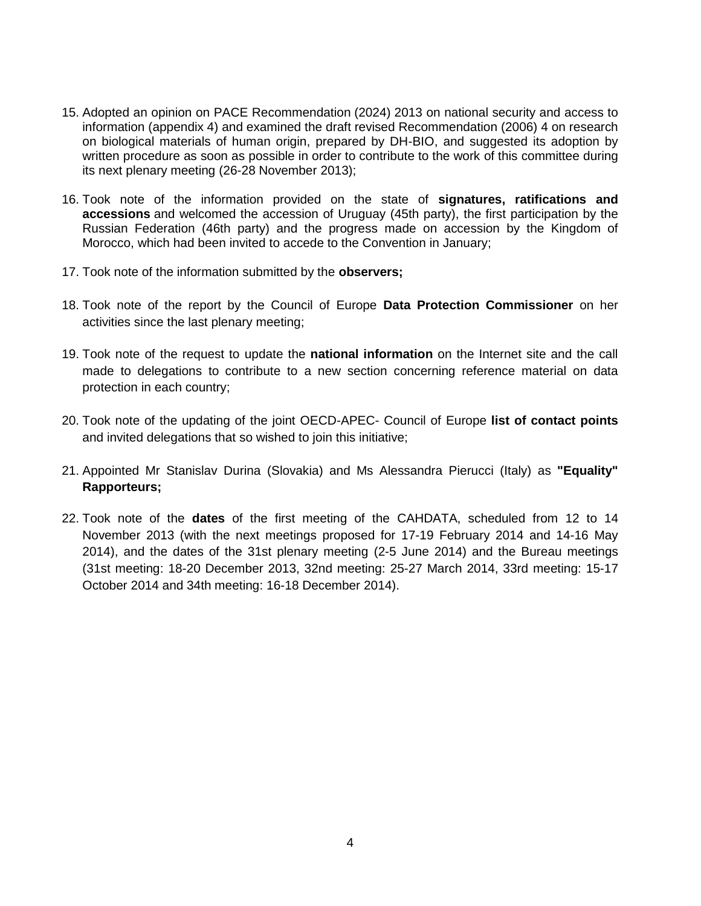- 15. Adopted an opinion on PACE Recommendation (2024) 2013 on national security and access to information (appendix 4) and examined the draft revised Recommendation (2006) 4 on research on biological materials of human origin, prepared by DH-BIO, and suggested its adoption by written procedure as soon as possible in order to contribute to the work of this committee during its next plenary meeting (26-28 November 2013);
- 16. Took note of the information provided on the state of **signatures, ratifications and accessions** and welcomed the accession of Uruguay (45th party), the first participation by the Russian Federation (46th party) and the progress made on accession by the Kingdom of Morocco, which had been invited to accede to the Convention in January;
- 17. Took note of the information submitted by the **observers;**
- 18. Took note of the report by the Council of Europe **Data Protection Commissioner** on her activities since the last plenary meeting;
- 19. Took note of the request to update the **national information** on the Internet site and the call made to delegations to contribute to a new section concerning reference material on data protection in each country;
- 20. Took note of the updating of the joint OECD-APEC- Council of Europe **list of contact points** and invited delegations that so wished to join this initiative;
- 21. Appointed Mr Stanislav Durina (Slovakia) and Ms Alessandra Pierucci (Italy) as **"Equality" Rapporteurs;**
- 22. Took note of the **dates** of the first meeting of the CAHDATA, scheduled from 12 to 14 November 2013 (with the next meetings proposed for 17-19 February 2014 and 14-16 May 2014), and the dates of the 31st plenary meeting (2-5 June 2014) and the Bureau meetings (31st meeting: 18-20 December 2013, 32nd meeting: 25-27 March 2014, 33rd meeting: 15-17 October 2014 and 34th meeting: 16-18 December 2014).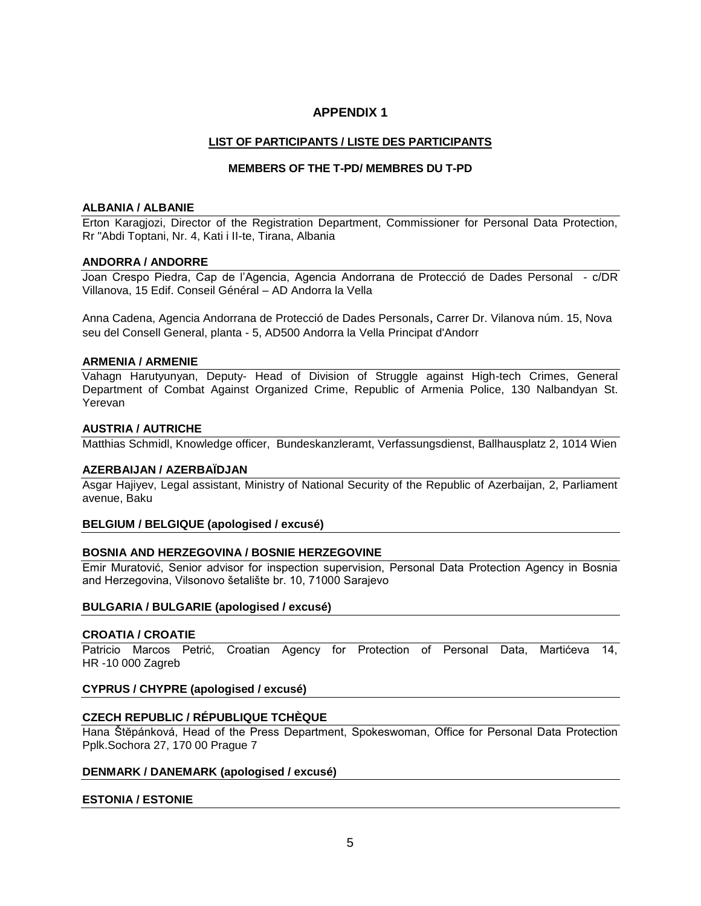## **APPENDIX 1**

## **LIST OF PARTICIPANTS / LISTE DES PARTICIPANTS**

## **MEMBERS OF THE T-PD/ MEMBRES DU T-PD**

#### **ALBANIA / ALBANIE**

Erton Karagjozi, Director of the Registration Department, Commissioner for Personal Data Protection, Rr "Abdi Toptani, Nr. 4, Kati i II-te, Tirana, Albania

#### **ANDORRA / ANDORRE**

Joan Crespo Piedra, Cap de l'Agencia, Agencia Andorrana de Protecció de Dades Personal - c/DR Villanova, 15 Edif. Conseil Général – AD Andorra la Vella

Anna Cadena, Agencia Andorrana de Protecció de Dades Personals, Carrer Dr. Vilanova núm. 15, Nova seu del Consell General, planta - 5, AD500 Andorra la Vella Principat d'Andorr

#### **ARMENIA / ARMENIE**

Vahagn Harutyunyan, Deputy- Head of Division of Struggle against High-tech Crimes, General Department of Combat Against Organized Crime, Republic of Armenia Police, 130 Nalbandyan St. Yerevan

#### **AUSTRIA / AUTRICHE**

Matthias Schmidl, Knowledge officer,Bundeskanzleramt, Verfassungsdienst, Ballhausplatz 2, 1014 Wien

#### **AZERBAIJAN / AZERBAÏDJAN**

Asgar Hajiyev, Legal assistant, Ministry of National Security of the Republic of Azerbaijan, 2, Parliament avenue, Baku

### **BELGIUM / BELGIQUE (apologised / excusé)**

### **BOSNIA AND HERZEGOVINA / BOSNIE HERZEGOVINE**

Emir Muratović, Senior advisor for inspection supervision, Personal Data Protection Agency in Bosnia and Herzegovina, Vilsonovo šetalište br. 10, 71000 Sarajevo

### **BULGARIA / BULGARIE (apologised / excusé)**

### **CROATIA / CROATIE**

Patricio Marcos Petrić, Croatian Agency for Protection of Personal Data, Martićeva 14, HR -10 000 Zagreb

### **CYPRUS / CHYPRE (apologised / excusé)**

### **CZECH REPUBLIC / RÉPUBLIQUE TCHÈQUE**

Hana Štĕpánková, Head of the Press Department, Spokeswoman, Office for Personal Data Protection Pplk.Sochora 27, 170 00 Prague 7

#### **DENMARK / DANEMARK (apologised / excusé)**

### **ESTONIA / ESTONIE**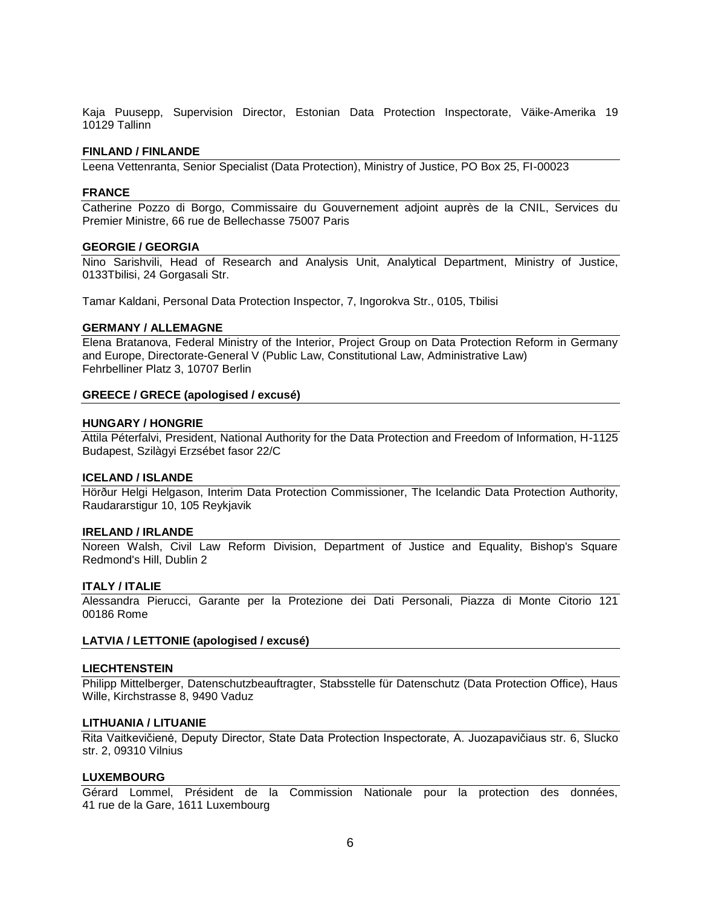Kaja Puusepp, Supervision Director, Estonian Data Protection Inspectorate, Väike-Amerika 19 10129 Tallinn

#### **FINLAND / FINLANDE**

Leena Vettenranta, Senior Specialist (Data Protection), Ministry of Justice, PO Box 25, FI-00023

#### **FRANCE**

Catherine Pozzo di Borgo, Commissaire du Gouvernement adjoint auprès de la CNIL, Services du Premier Ministre, 66 rue de Bellechasse 75007 Paris

#### **GEORGIE / GEORGIA**

Nino Sarishvili, Head of Research and Analysis Unit, Analytical Department, Ministry of Justice, 0133Tbilisi, 24 Gorgasali Str.

Tamar Kaldani, Personal Data Protection Inspector, 7, Ingorokva Str., 0105, Tbilisi

#### **GERMANY / ALLEMAGNE**

Elena Bratanova, Federal Ministry of the Interior, Project Group on Data Protection Reform in Germany and Europe, Directorate-General V (Public Law, Constitutional Law, Administrative Law) Fehrbelliner Platz 3, 10707 Berlin

#### **GREECE / GRECE (apologised / excusé)**

#### **HUNGARY / HONGRIE**

Attila Péterfalvi, President, National Authority for the Data Protection and Freedom of Information, H-1125 Budapest, Szilàgyi Erzsébet fasor 22/C

#### **ICELAND / ISLANDE**

Hörður Helgi Helgason, Interim Data Protection Commissioner, The Icelandic Data Protection Authority, Raudararstigur 10, 105 Reykjavik

#### **IRELAND / IRLANDE**

Noreen Walsh, Civil Law Reform Division, Department of Justice and Equality, Bishop's Square Redmond's Hill, Dublin 2

#### **ITALY / ITALIE**

Alessandra Pierucci, Garante per la Protezione dei Dati Personali, Piazza di Monte Citorio 121 00186 Rome

### **LATVIA / LETTONIE (apologised / excusé)**

#### **LIECHTENSTEIN**

Philipp Mittelberger, Datenschutzbeauftragter, Stabsstelle für Datenschutz (Data Protection Office), Haus Wille, Kirchstrasse 8, 9490 Vaduz

#### **LITHUANIA / LITUANIE**

Rita Vaitkevičienė, Deputy Director, State Data Protection Inspectorate, A. Juozapavičiaus str. 6, Slucko str. 2, 09310 Vilnius

#### **LUXEMBOURG**

Gérard Lommel, Président de la Commission Nationale pour la protection des données, 41 rue de la Gare, 1611 Luxembourg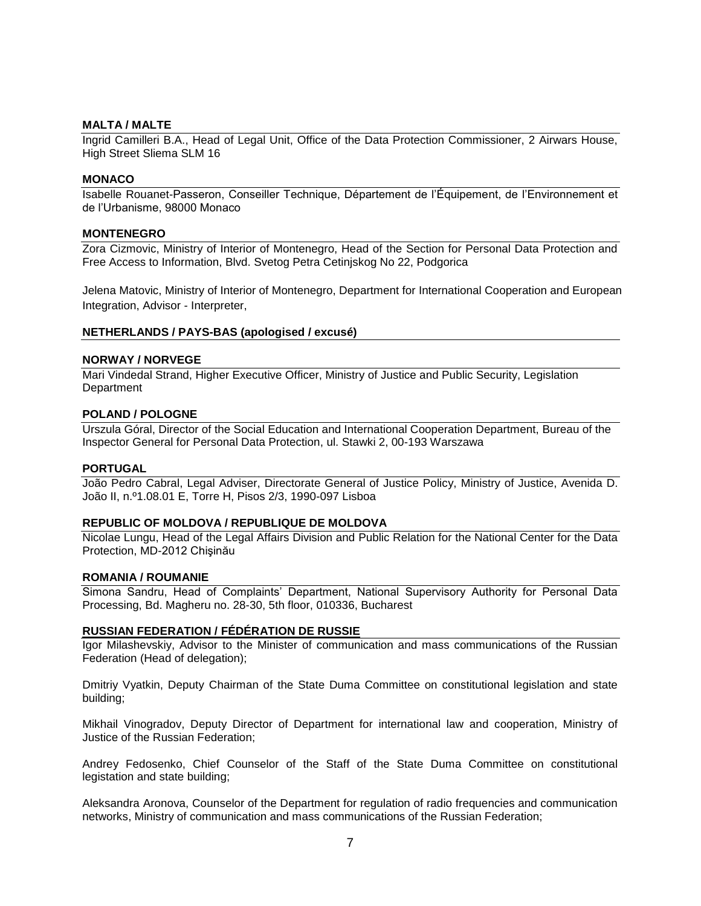#### **MALTA / MALTE**

Ingrid Camilleri B.A., Head of Legal Unit, Office of the Data Protection Commissioner, 2 Airwars House, High Street Sliema SLM 16

#### **MONACO**

Isabelle Rouanet-Passeron, Conseiller Technique, Département de l'Équipement, de l'Environnement et de l'Urbanisme, 98000 Monaco

#### **MONTENEGRO**

Zora Cizmovic, Ministry of Interior of Montenegro, Head of the Section for Personal Data Protection and Free Access to Information, Blvd. Svetog Petra Cetinjskog No 22, Podgorica

Jelena Matovic, Ministry of Interior of Montenegro, Department for International Cooperation and European Integration, Advisor - Interpreter,

#### **NETHERLANDS / PAYS-BAS (apologised / excusé)**

#### **NORWAY / NORVEGE**

Mari Vindedal Strand, Higher Executive Officer, Ministry of Justice and Public Security, Legislation **Department** 

#### **POLAND / POLOGNE**

Urszula Góral, Director of the Social Education and International Cooperation Department, Bureau of the Inspector General for Personal Data Protection, ul. Stawki 2, 00-193 Warszawa

#### **PORTUGAL**

João Pedro Cabral, Legal Adviser, Directorate General of Justice Policy, Ministry of Justice, Avenida D. João II, n.º1.08.01 E, Torre H, Pisos 2/3, 1990-097 Lisboa

#### **REPUBLIC OF MOLDOVA / REPUBLIQUE DE MOLDOVA**

Nicolae Lungu, Head of the Legal Affairs Division and Public Relation for the National Center for the Data Protection, MD-2012 Chişinău

#### **ROMANIA / ROUMANIE**

Simona Sandru, Head of Complaints' Department, National Supervisory Authority for Personal Data Processing, Bd. Magheru no. 28-30, 5th floor, 010336, Bucharest

#### **RUSSIAN FEDERATION / [FÉDÉRATION DE RUSSIE](http://home.coe.int/t/protocol/missdipl_en.asp#Russian_Federation_/_Fédération_de_Russie#Russian_Federation_/_Fédération_de_Russie)**

Igor Milashevskiy, Advisor to the Minister of communication and mass communications of the Russian Federation (Head of delegation);

Dmitriy Vyatkin, Deputy Chairman of the State Duma Committee on constitutional legislation and state building;

Mikhail Vinogradov, Deputy Director of Department for international law and cooperation, Ministry of Justice of the Russian Federation;

Andrey Fedosenko, Chief Counselor of the Staff of the State Duma Committee on constitutional legistation and state building;

Aleksandra Aronova, Counselor of the Department for regulation of radio frequencies and communication networks, Ministry of communication and mass communications of the Russian Federation;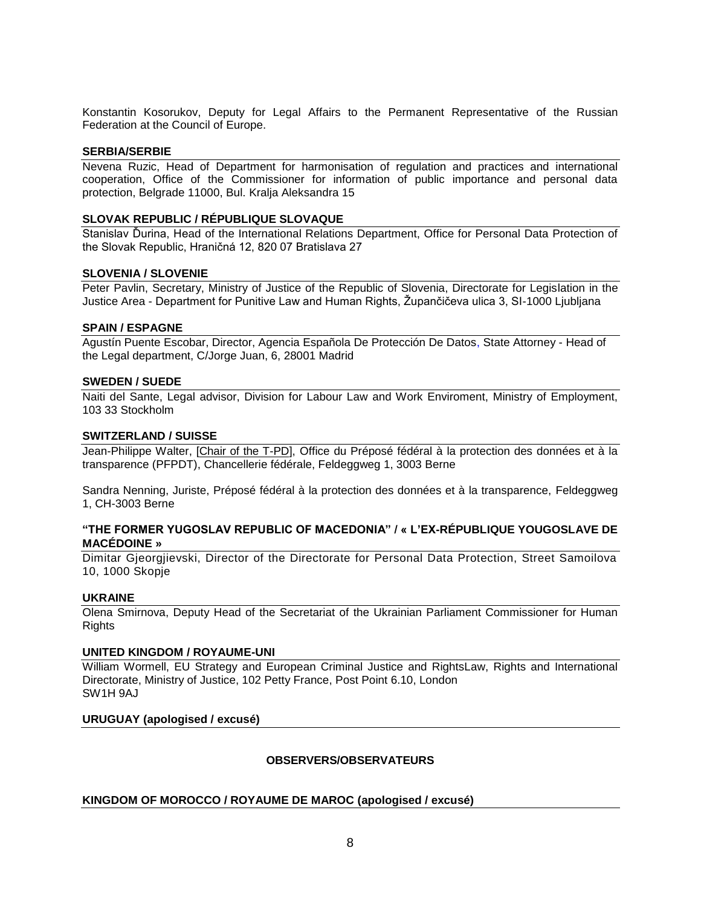Konstantin Kosorukov, Deputy for Legal Affairs to the Permanent Representative of the Russian Federation at the Council of Europe.

### **SERBIA/SERBIE**

Nevena Ruzic, Head of Department for harmonisation of regulation and practices and international cooperation, Office of the Commissioner for information of public importance and personal data protection, Belgrade 11000, Bul. Kralja Aleksandra 15

#### **SLOVAK REPUBLIC / RÉPUBLIQUE SLOVAQUE**

Stanislav Ďurina, Head of the International Relations Department, Office for Personal Data Protection of the Slovak Republic, Hraničná 12, 820 07 Bratislava 27

#### **SLOVENIA / SLOVENIE**

Peter Pavlin, Secretary, Ministry of Justice of the Republic of Slovenia, Directorate for Legislation in the Justice Area - Department for Punitive Law and Human Rights, Župančičeva ulica 3, SI-1000 Ljubljana

#### **SPAIN / ESPAGNE**

Agustín Puente Escobar, Director, Agencia Española De Protección De Datos, State Attorney - Head of the Legal department, C/Jorge Juan, 6, 28001 Madrid

### **SWEDEN / SUEDE**

Naiti del Sante, Legal advisor, Division for Labour Law and Work Enviroment, Ministry of Employment, 103 33 Stockholm

#### **SWITZERLAND / SUISSE**

Jean-Philippe Walter, [Chair of the T-PD], Office du Préposé fédéral à la protection des données et à la transparence (PFPDT), Chancellerie fédérale, Feldeggweg 1, 3003 Berne

Sandra Nenning, Juriste, Préposé fédéral à la protection des données et à la transparence, Feldeggweg 1, CH-3003 Berne

## **"THE FORMER YUGOSLAV REPUBLIC OF MACEDONIA" / « L'EX-RÉPUBLIQUE YOUGOSLAVE DE MACÉDOINE »**

Dimitar Gjeorgjievski, Director of the Directorate for Personal Data Protection, Street Samoilova 10, 1000 Skopje

### **UKRAINE**

Olena Smirnova, Deputy Head of the Secretariat of the Ukrainian Parliament Commissioner for Human **Rights** 

### **UNITED KINGDOM / ROYAUME-UNI**

William Wormell, EU Strategy and European Criminal Justice and RightsLaw, Rights and International Directorate, Ministry of Justice, 102 Petty France, Post Point 6.10, London SW1H 9AJ

## **URUGUAY (apologised / excusé)**

### **OBSERVERS/OBSERVATEURS**

### **KINGDOM OF MOROCCO / ROYAUME DE MAROC (apologised / excusé)**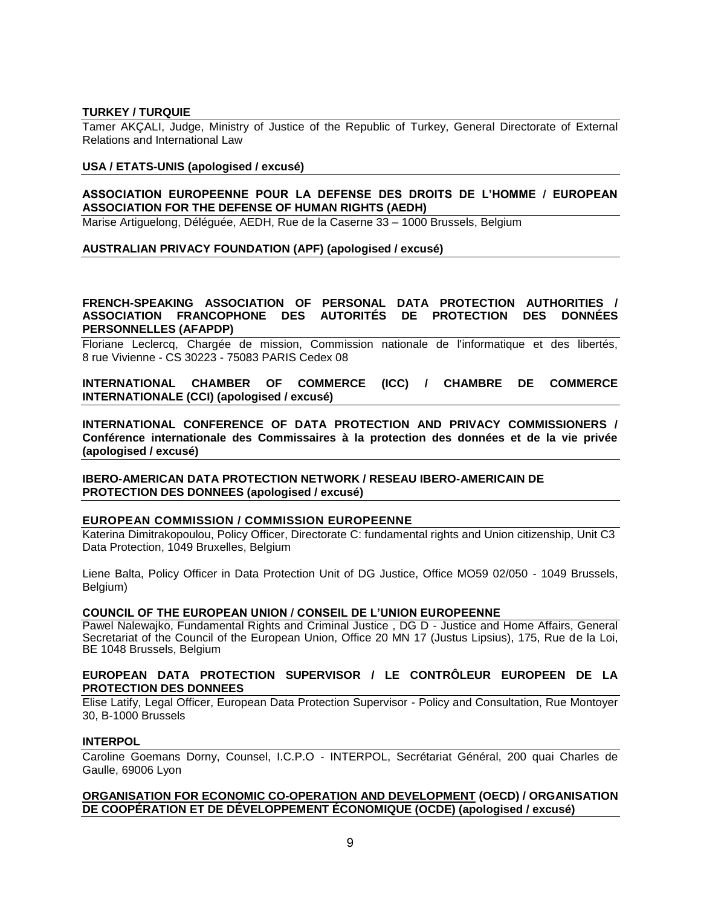#### **TURKEY / TURQUIE**

Tamer AKÇALI, Judge, Ministry of Justice of the Republic of Turkey, General Directorate of External Relations and International Law

#### **USA / ETATS-UNIS (apologised / excusé)**

### **ASSOCIATION EUROPEENNE POUR LA DEFENSE DES DROITS DE L'HOMME / EUROPEAN ASSOCIATION FOR THE DEFENSE OF HUMAN RIGHTS (AEDH)**

Marise Artiguelong, Déléguée, AEDH, Rue de la Caserne 33 – 1000 Brussels, Belgium

#### **AUSTRALIAN PRIVACY FOUNDATION (APF) (apologised / excusé)**

### **FRENCH-SPEAKING ASSOCIATION OF PERSONAL DATA PROTECTION AUTHORITIES / ASSOCIATION FRANCOPHONE DES AUTORITÉS DE PROTECTION DES DONNÉES PERSONNELLES (AFAPDP)**

Floriane Leclercq, Chargée de mission, Commission nationale de l'informatique et des libertés, 8 rue Vivienne - CS 30223 - 75083 PARIS Cedex 08

**INTERNATIONAL CHAMBER OF COMMERCE (ICC) / CHAMBRE DE COMMERCE INTERNATIONALE (CCI) (apologised / excusé)**

**INTERNATIONAL CONFERENCE OF DATA PROTECTION AND PRIVACY COMMISSIONERS / Conférence internationale des Commissaires à la protection des données et de la vie privée (apologised / excusé)**

**IBERO-AMERICAN DATA PROTECTION NETWORK / RESEAU IBERO-AMERICAIN DE PROTECTION DES DONNEES (apologised / excusé)**

#### **EUROPEAN COMMISSION / COMMISSION EUROPEENNE**

Katerina Dimitrakopoulou, Policy Officer, Directorate C: fundamental rights and Union citizenship, Unit C3 Data Protection, 1049 Bruxelles, Belgium

Liene Balta, Policy Officer in Data Protection Unit of DG Justice, Office MO59 02/050 - 1049 Brussels, Belgium)

#### **COUNCIL OF THE EUROPEAN UNION / CONSEIL DE L'UNION EUROPEENNE**

Pawel Nalewajko, Fundamental Rights and Criminal Justice , DG D - Justice and Home Affairs, General Secretariat of the Council of the European Union, Office 20 MN 17 (Justus Lipsius), 175, Rue de la Loi, BE 1048 Brussels, Belgium

## **EUROPEAN DATA PROTECTION SUPERVISOR / LE CONTRÔLEUR EUROPEEN DE LA PROTECTION DES DONNEES**

Elise Latify, Legal Officer, European Data Protection Supervisor - Policy and Consultation, Rue Montoyer 30, B-1000 Brussels

#### **INTERPOL**

Caroline Goemans Dorny, Counsel, I.C.P.O - INTERPOL, Secrétariat Général, 200 quai Charles de Gaulle, 69006 Lyon

### **[ORGANISATION FOR ECONOMIC CO-OPERATION AND DEVELOPMENT](http://www.google.com/url?sa=t&source=web&cd=1&ved=0CCQQFjAA&url=http%3A%2F%2Fwww.oecd.org%2F&ei=b6YATqeGK42e-Qb4l5TQDQ&usg=AFQjCNHOvha_Kgd0PZryx-7E0w8swGHlKA&sig2=9kffkFT2_swFRCMw0Bglyw) (OECD) / ORGANISATION DE COOPÉRATION ET DE DÉVELOPPEMENT ÉCONOMIQUE (OCDE) (apologised / excusé)**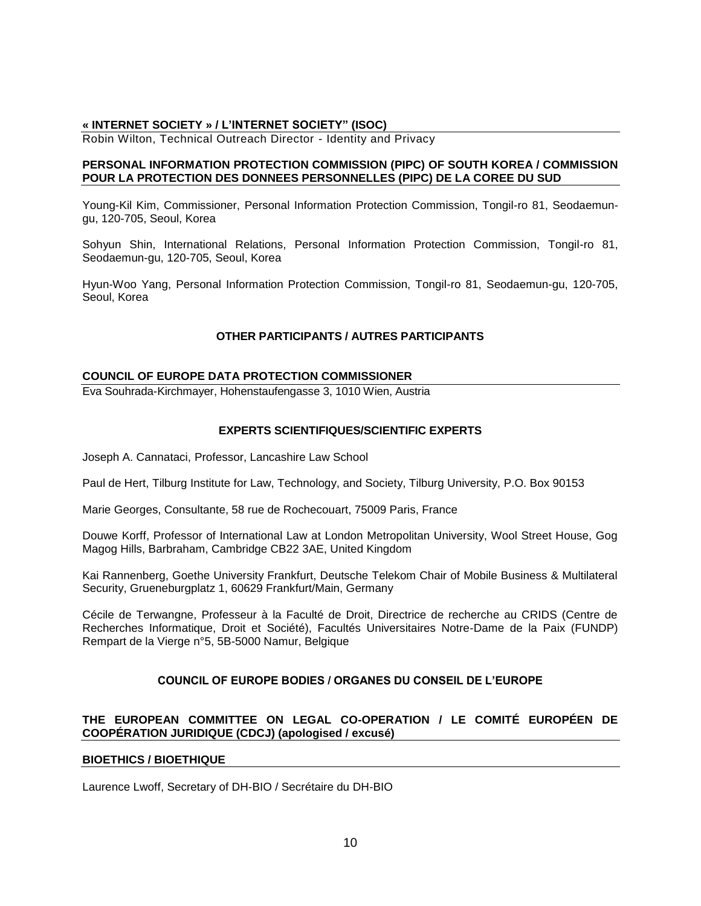## **« INTERNET SOCIETY » / L'INTERNET SOCIETY" (ISOC)**

Robin Wilton, Technical Outreach Director - Identity and Privacy

### **PERSONAL INFORMATION PROTECTION COMMISSION (PIPC) OF SOUTH KOREA / COMMISSION POUR LA PROTECTION DES DONNEES PERSONNELLES (PIPC) DE LA COREE DU SUD**

Young-Kil Kim, Commissioner, Personal Information Protection Commission, Tongil-ro 81, Seodaemungu, 120-705, Seoul, Korea

Sohyun Shin, International Relations, Personal Information Protection Commission, Tongil-ro 81, Seodaemun-gu, 120-705, Seoul, Korea

Hyun-Woo Yang, Personal Information Protection Commission, Tongil-ro 81, Seodaemun-gu, 120-705, Seoul, Korea

## **OTHER PARTICIPANTS / AUTRES PARTICIPANTS**

#### **COUNCIL OF EUROPE DATA PROTECTION COMMISSIONER**

Eva Souhrada-Kirchmayer, Hohenstaufengasse 3, 1010 Wien, Austria

### **EXPERTS SCIENTIFIQUES/SCIENTIFIC EXPERTS**

Joseph A. Cannataci, Professor, Lancashire Law School

Paul de Hert, Tilburg Institute for Law, Technology, and Society, Tilburg University, P.O. Box 90153

Marie Georges, Consultante, 58 rue de Rochecouart, 75009 Paris, France

Douwe Korff, Professor of International Law at London Metropolitan University, Wool Street House, Gog Magog Hills, Barbraham, Cambridge CB22 3AE, United Kingdom

Kai Rannenberg, Goethe University Frankfurt, Deutsche Telekom Chair of Mobile Business & Multilateral Security, Grueneburgplatz 1, 60629 Frankfurt/Main, Germany

Cécile de Terwangne, Professeur à la Faculté de Droit, Directrice de recherche au CRIDS (Centre de Recherches Informatique, Droit et Société), Facultés Universitaires Notre-Dame de la Paix (FUNDP) Rempart de la Vierge n°5, 5B-5000 Namur, Belgique

## **COUNCIL OF EUROPE BODIES / ORGANES DU CONSEIL DE L'EUROPE**

## **THE EUROPEAN COMMITTEE ON LEGAL CO-OPERATION / LE COMITÉ EUROPÉEN DE COOPÉRATION JURIDIQUE (CDCJ) (apologised / excusé)**

#### **BIOETHICS / BIOETHIQUE**

Laurence Lwoff, Secretary of DH-BIO / Secrétaire du DH-BIO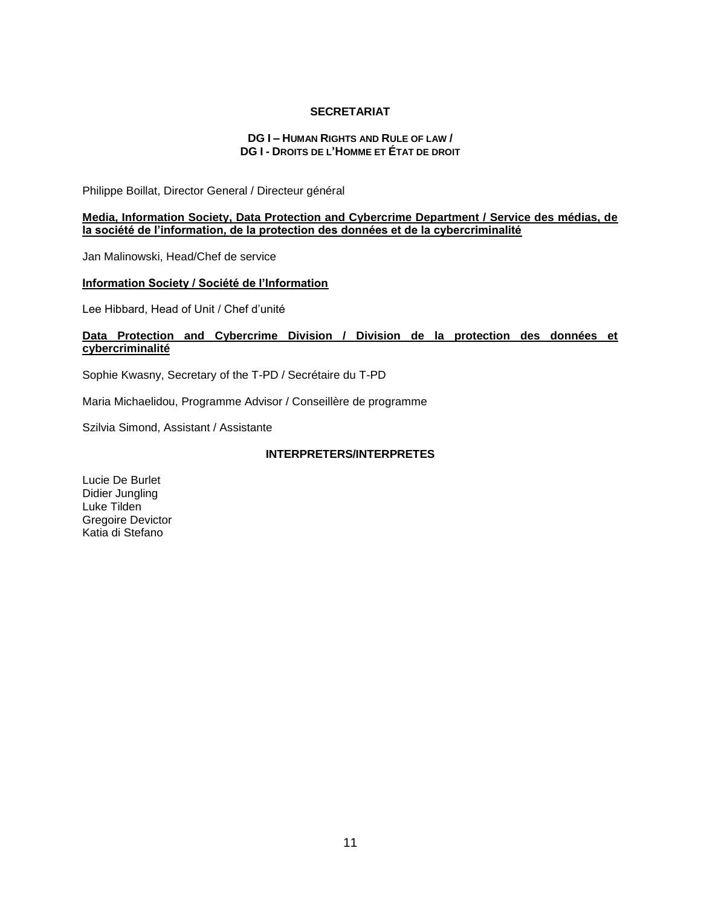#### **SECRETARIAT**

## **DG I – HUMAN RIGHTS AND RULE OF LAW / DG I - DROITS DE L'HOMME ET ÉTAT DE DROIT**

Philippe Boillat, Director General / Directeur général

#### **Media, Information Society, Data Protection and Cybercrime Department / Service des médias, de la société de l'information, de la protection des données et de la cybercriminalité**

Jan Malinowski, Head/Chef de service

## **Information Society / Société de l'Information**

Lee Hibbard, Head of Unit / Chef d'unité

## **Data Protection and Cybercrime Division / Division de la protection des données et cybercriminalité**

Sophie Kwasny, Secretary of the T-PD / Secrétaire du T-PD

Maria Michaelidou, Programme Advisor / Conseillère de programme

Szilvia Simond, Assistant / Assistante

## **INTERPRETERS/INTERPRETES**

Lucie De Burlet Didier Jungling Luke Tilden Gregoire Devictor Katia di Stefano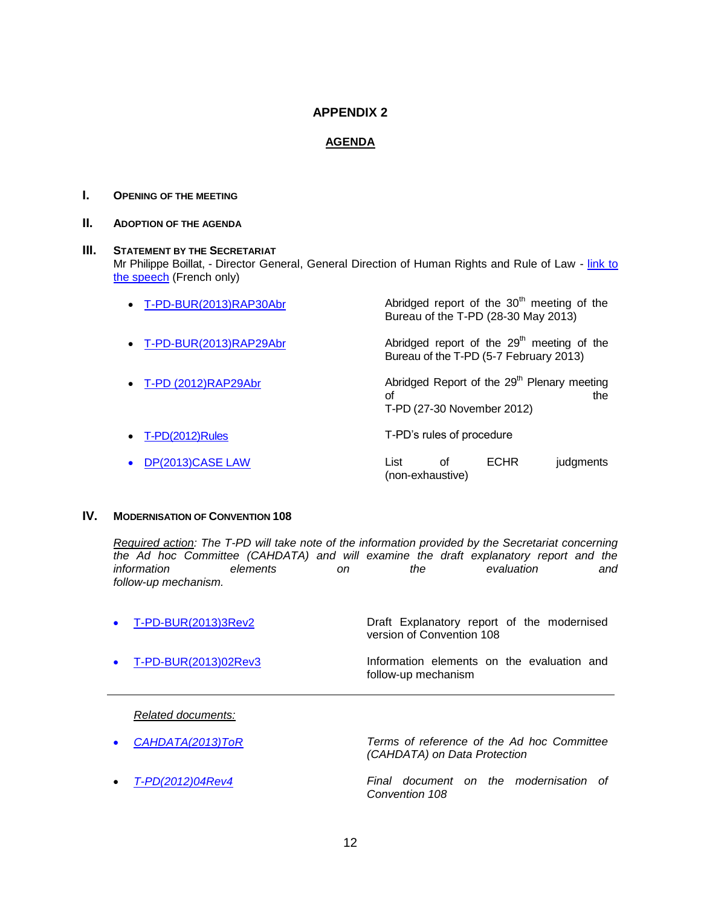## **APPENDIX 2**

## **AGENDA**

## **I. OPENING OF THE MEETING**

## **II. ADOPTION OF THE AGENDA**

### **III.** STATEMENT BY THE SECRETARIAT

Mr Philippe Boillat, - Director General, General Direction of Human Rights and Rule of Law - link to [the speech](file:///C:/Users/michaelidou/AppData/Local/Microsoft/Windows/Temporary%20Internet%20Files/Content.Outlook/KWF3PJ6C/Opening_30ème%20T-PD%20PBrev.pdf) (French only)

| • T-PD-BUR(2013)RAP30Abr        | Abridged report of the 30 <sup>th</sup> meeting of the<br>Bureau of the T-PD (28-30 May 2013)      |
|---------------------------------|----------------------------------------------------------------------------------------------------|
| • T-PD-BUR(2013)RAP29Abr        | Abridged report of the 29 <sup>th</sup> meeting of the<br>Bureau of the T-PD (5-7 February 2013)   |
| $\bullet$ T-PD (2012)RAP29Abr   | Abridged Report of the 29 <sup>th</sup> Plenary meeting<br>οf<br>the<br>T-PD (27-30 November 2012) |
| $T-PD(2012)$ Rules<br>$\bullet$ | T-PD's rules of procedure                                                                          |
| DP(2013)CASE LAW                | List<br><b>ECHR</b><br>Ωf<br>judgments<br>(non-exhaustive)                                         |

## **IV. MODERNISATION OF CONVENTION 108**

*Required action: The T-PD will take note of the information provided by the Secretariat concerning the Ad hoc Committee (CAHDATA) and will examine the draft explanatory report and the information elements on the evaluation and follow-up mechanism.*

| $\bullet$ T-PD-BUR(2013)3Rev2  | Draft Explanatory report of the modernised<br>version of Convention 108 |
|--------------------------------|-------------------------------------------------------------------------|
| $\bullet$ T-PD-BUR(2013)02Rev3 | Information elements on the evaluation and<br>follow-up mechanism       |

*Related documents:*

| • $CAHDATA(2013) ToR$ | Terms of reference of the Ad hoc Committee<br>(CAHDATA) on Data Protection |
|-----------------------|----------------------------------------------------------------------------|
| • T-PD(2012)04Rev4    | Final document on the modernisation of<br>Convention 108                   |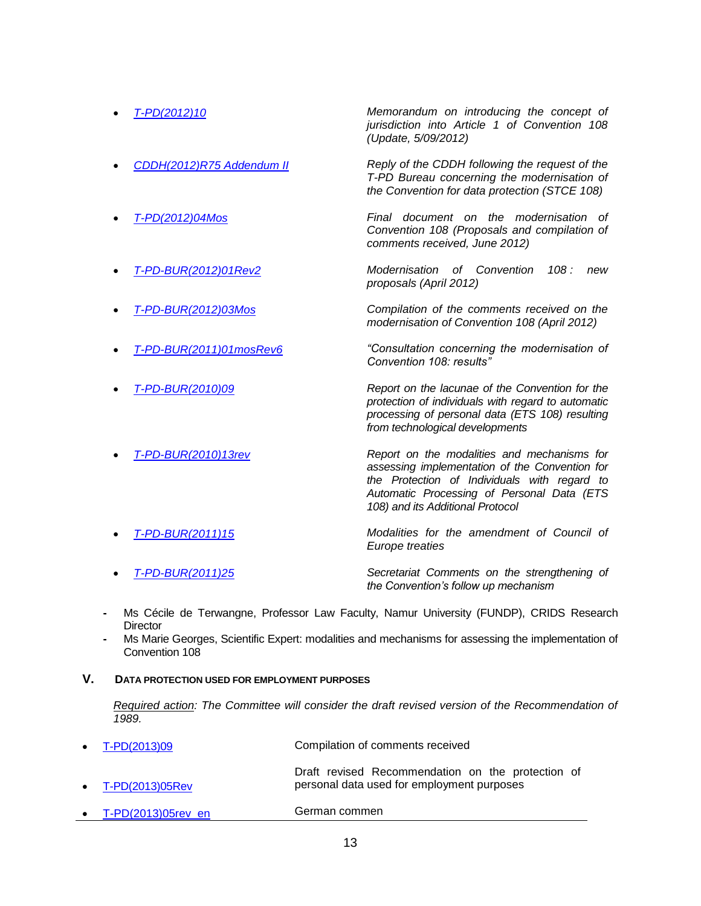| T-PD(2012)10              | Memorandum on introducing the concept of<br>jurisdiction into Article 1 of Convention 108<br>(Update, 5/09/2012)                                                                            |  |  |
|---------------------------|---------------------------------------------------------------------------------------------------------------------------------------------------------------------------------------------|--|--|
| CDDH(2012)R75 Addendum II | Reply of the CDDH following the request of the<br>T-PD Bureau concerning the modernisation of<br>the Convention for data protection (STCE 108)                                              |  |  |
| T-PD(2012)04Mos           | Final document on the modernisation<br>Ωf<br>Convention 108 (Proposals and compilation of<br>comments received, June 2012)                                                                  |  |  |
| T-PD-BUR(2012)01Rev2      | Modernisation of Convention<br>108:<br>new<br>proposals (April 2012)                                                                                                                        |  |  |
| T-PD-BUR(2012)03Mos       | Compilation of the comments received on the<br>modernisation of Convention 108 (April 2012)                                                                                                 |  |  |
| T-PD-BUR(2011)01mosRev6   | "Consultation concerning the modernisation of<br>Convention 108: results"                                                                                                                   |  |  |
| <u>T-PD-BUR(2010)09</u>   | Report on the lacunae of the Convention for the<br>protection of individuals with regard to automatic<br>processing of personal data (ETS 108) resulting<br>from technological developments |  |  |
| T-PD-BUR(2010)13rev       | Report on the modalities and mechanisms for<br>assessing implementation of the Convention for<br>the Protection of Individuals with regard to<br>Automatic Processing of Personal Data (ETS |  |  |

 *[T-PD-BUR\(2011\)15](file://isengard/Transit_src/Internet/DGHL/StandardSetting/Dataprotection/Web/TPD_documents/T-PD-BUR_2011_15_en.pdf) Modalities for the amendment of Council of Europe treaties [T-PD-BUR\(2011\)25](file://isengard/Transit_src/Internet/DGHL/StandardSetting/Dataprotection/Web/TPD_documents/T-PD-BUR(2011)%2025%20Secretariat%20Comments%20on%20the%20stengthening.pdf) Secretariat Comments on the strengthening of* 

*108) and its Additional Protocol*

- *the Convention's follow up mechanism*
- **-** Ms Cécile de Terwangne, Professor Law Faculty, Namur University (FUNDP), CRIDS Research **Director**
- **-** Ms Marie Georges, Scientific Expert: modalities and mechanisms for assessing the implementation of Convention 108
- **V. DATA PROTECTION USED FOR EMPLOYMENT PURPOSES**

**Required action: The Committee will consider the draft revised version of the Recommendation of** *1989.*

| • $T-PD(2013)09$          | Compilation of comments received                                                                |  |
|---------------------------|-------------------------------------------------------------------------------------------------|--|
| $\bullet$ T-PD(2013)05Rev | Draft revised Recommendation on the protection of<br>personal data used for employment purposes |  |
| T-PD(2013)05rev en        | German commen                                                                                   |  |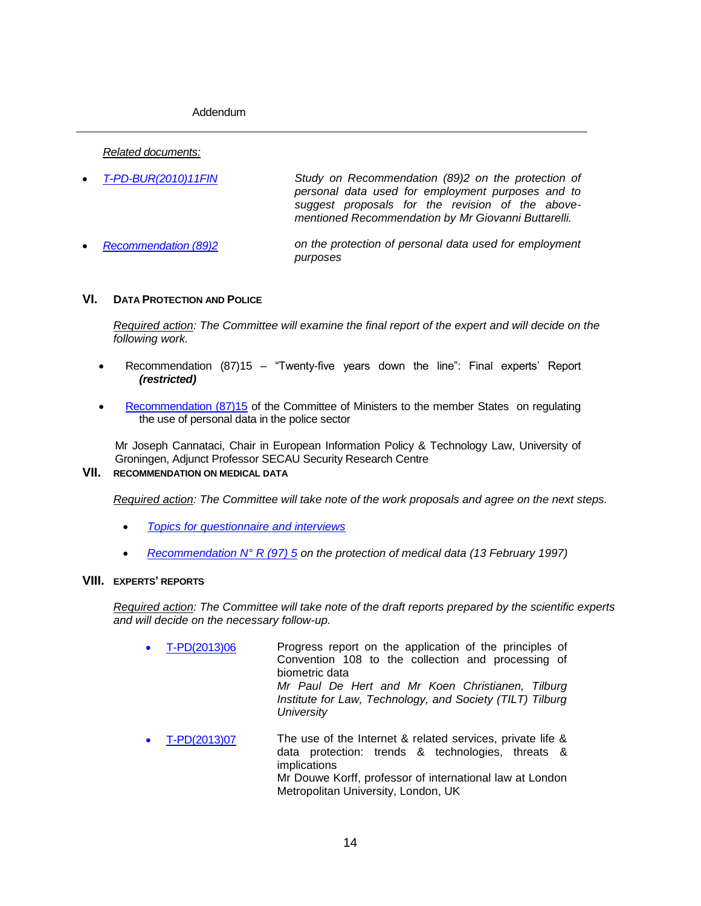Addendum

*Related documents:*

| $\bullet$ T-PD-BUR(2010)11FIN | Study on Recommendation (89)2 on the protection of  |  |  |
|-------------------------------|-----------------------------------------------------|--|--|
|                               | personal data used for employment purposes and to   |  |  |
|                               | suggest proposals for the revision of the above-    |  |  |
|                               | mentioned Recommendation by Mr Giovanni Buttarelli. |  |  |

 *[Recommendation \(89\)2](file://transitsrc/transit_src/Internet/dghl/StandardSetting/Dataprotection/Web/TPD_documents/(89)2_en.pdf) on the protection of personal data used for employment purposes*

## **VI. DATA PROTECTION AND POLICE**

*Required action: The Committee will examine the final report of the expert and will decide on the following work.*

- Recommendation (87)15 "Twenty-five years down the line": Final experts' Report *(restricted)*
- [Recommendation \(87\)15](file:///C:/Users/michaelidou/AppData/Local/Microsoft/Windows/Temporary%20Internet%20Files/Content.Outlook/KWF3PJ6C/RecCM(87)15_en.pdf) of the Committee of Ministers to the member States on regulating the use of personal data in the police sector

Mr Joseph Cannataci, Chair in European Information Policy & Technology Law, University of Groningen, Adjunct Professor SECAU Security Research Centre

## **VII. RECOMMENDATION ON MEDICAL DATA**

*Required action: The Committee will take note of the work proposals and agree on the next steps.*

- *[Topics for questionnaire and interviews](file:///C:/Users/michaelidou/AppData/Local/Microsoft/Windows/Temporary%20Internet%20Files/Content.Outlook/KWF3PJ6C/Medical%20data%20-%20Topics%20for%20Questionnaire%20and%20Interviews.pdf)*
- *[Recommendation N° R \(97\) 5](https://wcd.coe.int/com.instranet.InstraServlet?command=com.instranet.CmdBlobGet&InstranetImage=564487&SecMode=1&DocId=560582&Usage=2) on the protection of medical data (13 February 1997)*

### **VIII. EXPERTS' REPORTS**

*Required action: The Committee will take note of the draft reports prepared by the scientific experts and will decide on the necessary follow-up.*

- [T-PD\(2013\)06](file://isengard/Transit_src/Internet/DGHL/StandardSetting/Dataprotection/Web/TPD_documents/T-PD(2013)06-CoE_Progress_report_(P.%20de%20Hert)2013%2004%2012_17%2046_final.pdf) Progress report on the application of the principles of Convention 108 to the collection and processing of biometric data *Mr Paul De Hert and Mr Koen Christianen, Tilburg Institute for Law, Technology, and Society (TILT) Tilburg University*
- [T-PD\(2013\)07](file://isengard/Transit_src/Internet/DGHL/StandardSetting/Dataprotection/Web/TPD_documents/T-PD(2013)07%20KORFF%20-%20Trends%20report%20-%20March2013%20(new).pdf) The use of the Internet & related services, private life & data protection: trends & technologies, threats & implications Mr Douwe Korff, professor of international law at London Metropolitan University, London, UK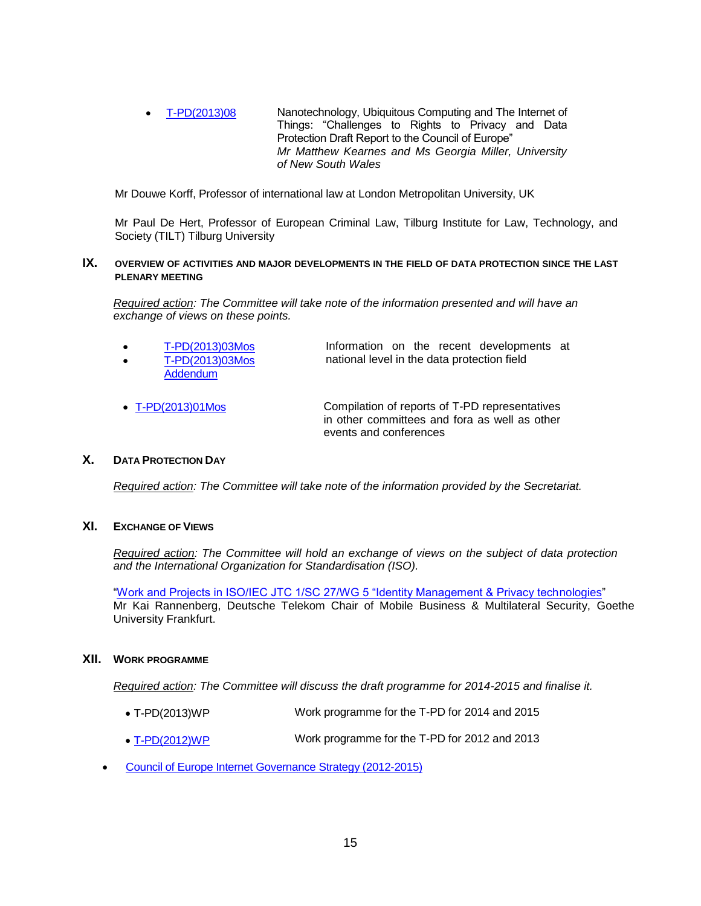[T-PD\(2013\)08](file:///C:/Users/michaelidou/AppData/Local/Microsoft/Windows/Temporary%20Internet%20Files/Content.Outlook/KWF3PJ6C/Miller%20Kearnes%20-%20Nano%20privacy%20report%20(October%202013)_final2.pdf) Nanotechnology, Ubiquitous Computing and The Internet of Things: "Challenges to Rights to Privacy and Data Protection Draft Report to the Council of Europe" *Mr Matthew Kearnes and Ms Georgia Miller, University of New South Wales*

Mr Douwe Korff, Professor of international law at London Metropolitan University, UK

Mr Paul De Hert, Professor of European Criminal Law, Tilburg Institute for Law, Technology, and Society (TILT) Tilburg University

### **IX. OVERVIEW OF ACTIVITIES AND MAJOR DEVELOPMENTS IN THE FIELD OF DATA PROTECTION SINCE THE LAST PLENARY MEETING**

*Required action: The Committee will take note of the information presented and will have an exchange of views on these points.*

| $\bullet$ | T-PD(2013)03Mos | Information on the recent developments at   |  |  |
|-----------|-----------------|---------------------------------------------|--|--|
| $\bullet$ | T-PD(2013)03Mos | national level in the data protection field |  |  |
|           | Addendum        |                                             |  |  |

 [T-PD\(2013\)01Mos](file:///C:/Users/michaelidou/AppData/Local/Microsoft/Windows/Temporary%20Internet%20Files/Content.Outlook/KWF3PJ6C/T-PD(2013)01Mos%20-%20Compil%20%20of%20reports%20of%20T-PD%20repr%20%20in%20other%20comm%20%20and%20fora%20events%20conferences%20(2)%20(2).pdf) Compilation of reports of T-PD representatives in other committees and fora as well as other events and conferences

## **X. DATA PROTECTION DAY**

*Required action: The Committee will take note of the information provided by the Secretariat.*

## **XI. EXCHANGE OF VIEWS**

*Required action: The Committee will hold an exchange of views on the subject of data protection and the International Organization for Standardisation (ISO).*

["Work and Projects in ISO/IEC JTC 1/SC 27/WG 5 "Identity Management & Privacy technologies"](file:///C:/Users/michaelidou/AppData/Local/Microsoft/Windows/Temporary%20Internet%20Files/Content.Outlook/KWF3PJ6C/Rannenberg%20Kai%20-%20CoE20131017_ISOIEC_JTC1_SC27_WG5%2020131011%20public.pdf) Mr Kai Rannenberg, Deutsche Telekom Chair of Mobile Business & Multilateral Security, Goethe University Frankfurt.

#### **XII. WORK PROGRAMME**

*Required action: The Committee will discuss the draft programme for 2014-2015 and finalise it.*

- T-PD(2013)WP Work programme for the T-PD for 2014 and 2015
- [T-PD\(2012\)WP](file:///C:/Users/michaelidou/AppData/Local/Microsoft/Windows/Temporary%20Internet%20Files/Content.Outlook/KWF3PJ6C/T-PD_2012_WP_en.pdf) Work programme for the T-PD for 2012 and 2013
- [Council of Europe Internet Governance Strategy](http://www.coe.int/t/dghl/standardsetting/dataprotection/TPD_documents/Internet%20gouvernance%20CM(2011)175%20fin%20E.pdf) (2012-2015)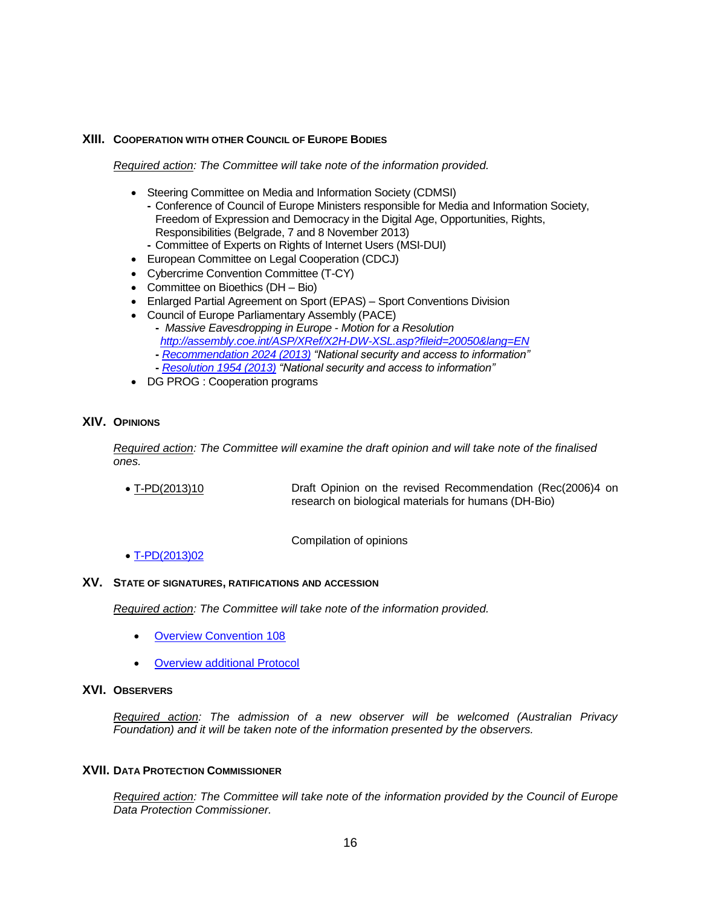## **XIII. COOPERATION WITH OTHER COUNCIL OF EUROPE BODIES**

*Required action: The Committee will take note of the information provided.*

- Steering Committee on Media and Information Society (CDMSI)
	- **-** Conference of Council of Europe Ministers responsible for Media and Information Society, Freedom of Expression and Democracy in the Digital Age, Opportunities, Rights, Responsibilities (Belgrade, 7 and 8 November 2013) **-** Committee of Experts on Rights of Internet Users (MSI-DUI)
- 
- European Committee on Legal Cooperation (CDCJ)
- Cybercrime Convention Committee (T-CY)
- Committee on Bioethics (DH Bio)
- Enlarged Partial Agreement on Sport (EPAS) Sport Conventions Division
- Council of Europe Parliamentary Assembly (PACE)
	- **-** *Massive Eavesdropping in Europe - Motion for a Resolution <http://assembly.coe.int/ASP/XRef/X2H-DW-XSL.asp?fileid=20050&lang=EN>* **-** *[Recommendation 2024 \(2013\)](http://assembly.coe.int/nw/xml/XRef/Xref-XML2HTML-en.asp?fileid=20194&lang=en) "National security and access to information"*
		- **-** *[Resolution 1954 \(2013\)](http://assembly.coe.int/nw/xml/XRef/Xref-XML2HTML-en.asp?fileid=20190&lang=en) "National security and access to information"*
	-
- DG PROG : Cooperation programs

## **XIV. OPINIONS**

*Required action: The Committee will examine the draft opinion and will take note of the finalised ones.* 

 T-PD(2013)10 Draft Opinion on the revised Recommendation (Rec(2006)4 on research on biological materials for humans (DH-Bio)

Compilation of opinions

[T-PD\(2013\)02](file:///C:/Users/michaelidou/AppData/Local/Microsoft/Windows/Temporary%20Internet%20Files/Content.Outlook/KWF3PJ6C/T-PD(2013)02_En_Compilation_of_opinions%20-%2026%2009%202013.pdf)

### **XV. STATE OF SIGNATURES, RATIFICATIONS AND ACCESSION**

*Required action: The Committee will take note of the information provided.*

- [Overview Convention 108](http://conventions.coe.int/Treaty/Commun/ChercheSig.asp?NT=108&CM=1&DF=&CL=ENG)
- [Overview additional Protocol](http://conventions.coe.int/Treaty/Commun/ChercheSig.asp?NT=181&CM=2&DF=&CL=ENG)

### **XVI. OBSERVERS**

*Required action: The admission of a new observer will be welcomed (Australian Privacy Foundation) and it will be taken note of the information presented by the observers.*

### **XVII. DATA PROTECTION COMMISSIONER**

*Required action: The Committee will take note of the information provided by the Council of Europe Data Protection Commissioner.*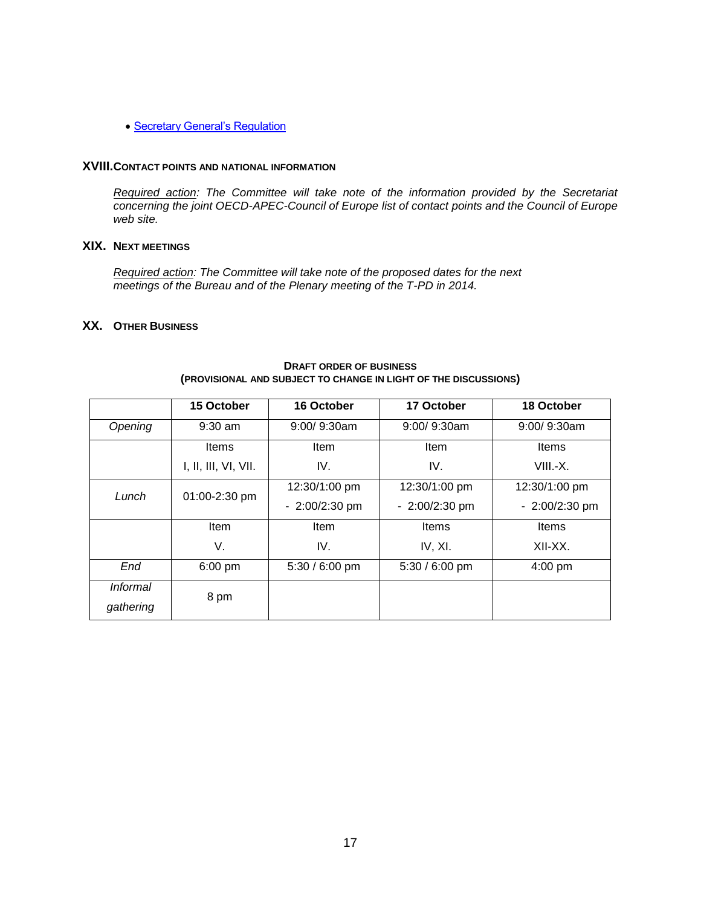• [Secretary General's Regulation](http://www.coe.int/t/dghl/standardsetting/dataprotection/DP%20Regulation%2017%20april%201989%20CoE%20E%20_2_.pdf)

### **XVIII.CONTACT POINTS AND NATIONAL INFORMATION**

*Required action: The Committee will take note of the information provided by the Secretariat concerning the joint OECD-APEC-Council of Europe list of contact points and the Council of Europe web site.*

## **XIX. NEXT MEETINGS**

*Required action: The Committee will take note of the proposed dates for the next meetings of the Bureau and of the Plenary meeting of the T-PD in 2014.*

## **XX. OTHER BUSINESS**

|                              | 15 October           | 16 October      | 17 October      | 18 October      |
|------------------------------|----------------------|-----------------|-----------------|-----------------|
| Opening                      | $9:30$ am            | $9:00/9:30$ am  | $9:00/9:30$ am  | $9:00/9:30$ am  |
|                              | Items                | Item            | Item            | <b>Items</b>    |
|                              | I, II, III, VI, VII. | IV.             | IV.             | $VIII.-X.$      |
| Lunch                        | 01:00-2:30 pm        | 12:30/1:00 pm   | 12:30/1:00 pm   | 12:30/1:00 pm   |
|                              |                      | $-2:00/2:30$ pm | $-2:00/2:30$ pm | $-2:00/2:30$ pm |
|                              | <b>Item</b>          | Item            | Items           | Items           |
|                              | V.                   | IV.             | IV, XI.         | XII-XX.         |
| End                          | $6:00$ pm            | 5:30 / 6:00 pm  | 5:30 / 6:00 pm  | $4:00$ pm       |
| <i>Informal</i><br>gathering | 8 pm                 |                 |                 |                 |

#### **DRAFT ORDER OF BUSINESS (PROVISIONAL AND SUBJECT TO CHANGE IN LIGHT OF THE DISCUSSIONS)**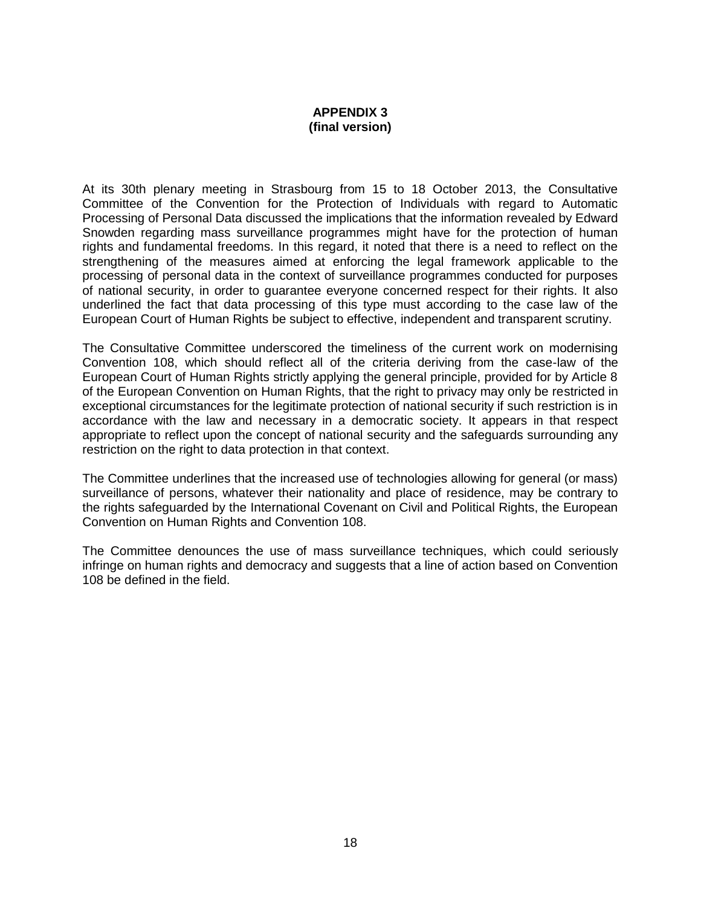## **APPENDIX 3 (final version)**

At its 30th plenary meeting in Strasbourg from 15 to 18 October 2013, the Consultative Committee of the Convention for the Protection of Individuals with regard to Automatic Processing of Personal Data discussed the implications that the information revealed by Edward Snowden regarding mass surveillance programmes might have for the protection of human rights and fundamental freedoms. In this regard, it noted that there is a need to reflect on the strengthening of the measures aimed at enforcing the legal framework applicable to the processing of personal data in the context of surveillance programmes conducted for purposes of national security, in order to guarantee everyone concerned respect for their rights. It also underlined the fact that data processing of this type must according to the case law of the European Court of Human Rights be subject to effective, independent and transparent scrutiny.

The Consultative Committee underscored the timeliness of the current work on modernising Convention 108, which should reflect all of the criteria deriving from the case-law of the European Court of Human Rights strictly applying the general principle, provided for by Article 8 of the European Convention on Human Rights, that the right to privacy may only be restricted in exceptional circumstances for the legitimate protection of national security if such restriction is in accordance with the law and necessary in a democratic society. It appears in that respect appropriate to reflect upon the concept of national security and the safeguards surrounding any restriction on the right to data protection in that context.

The Committee underlines that the increased use of technologies allowing for general (or mass) surveillance of persons, whatever their nationality and place of residence, may be contrary to the rights safeguarded by the International Covenant on Civil and Political Rights, the European Convention on Human Rights and Convention 108.

The Committee denounces the use of mass surveillance techniques, which could seriously infringe on human rights and democracy and suggests that a line of action based on Convention 108 be defined in the field.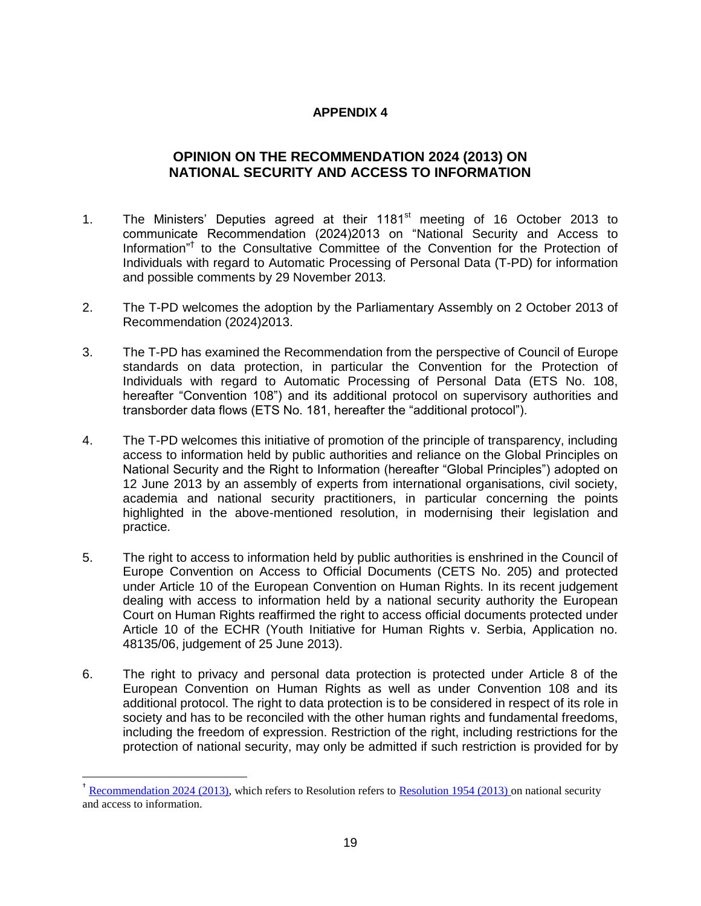# **APPENDIX 4**

# **OPINION ON THE RECOMMENDATION 2024 (2013) ON NATIONAL SECURITY AND ACCESS TO INFORMATION**

- 1. The Ministers' Deputies agreed at their 1181<sup>st</sup> meeting of 16 October 2013 to communicate Recommendation (2024)2013 on "National Security and Access to Information<sup>"†</sup> to the Consultative Committee of the Convention for the Protection of Individuals with regard to Automatic Processing of Personal Data (T-PD) for information and possible comments by 29 November 2013.
- 2. The T-PD welcomes the adoption by the Parliamentary Assembly on 2 October 2013 of Recommendation (2024)2013.
- 3. The T-PD has examined the Recommendation from the perspective of Council of Europe standards on data protection, in particular the Convention for the Protection of Individuals with regard to Automatic Processing of Personal Data (ETS No. 108, hereafter "Convention 108") and its additional protocol on supervisory authorities and transborder data flows (ETS No. 181, hereafter the "additional protocol").
- 4. The T-PD welcomes this initiative of promotion of the principle of transparency, including access to information held by public authorities and reliance on the Global Principles on National Security and the Right to Information (hereafter "Global Principles") adopted on 12 June 2013 by an assembly of experts from international organisations, civil society, academia and national security practitioners, in particular concerning the points highlighted in the above-mentioned resolution, in modernising their legislation and practice.
- 5. The right to access to information held by public authorities is enshrined in the Council of Europe Convention on Access to Official Documents (CETS No. 205) and protected under Article 10 of the European Convention on Human Rights. In its recent judgement dealing with access to information held by a national security authority the European Court on Human Rights reaffirmed the right to access official documents protected under Article 10 of the ECHR (Youth Initiative for Human Rights v. Serbia, Application no. 48135/06, judgement of 25 June 2013).
- 6. The right to privacy and personal data protection is protected under Article 8 of the European Convention on Human Rights as well as under Convention 108 and its additional protocol. The right to data protection is to be considered in respect of its role in society and has to be reconciled with the other human rights and fundamental freedoms, including the freedom of expression. Restriction of the right, including restrictions for the protection of national security, may only be admitted if such restriction is provided for by

 $\overline{a}$ 

<sup>&</sup>lt;sup>†</sup> [Recommendation 2024 \(2013\),](http://assembly.coe.int/nw/xml/XRef/X2H-Xref-ViewHTML.asp?FileID=20194&lang=en) which refers to Resolution refers to [Resolution 1954 \(2013\) o](http://assembly.coe.int/nw/xml/XRef/X2H-Xref-ViewHTML.asp?FileID=20190&lang=en)n national security and access to information.